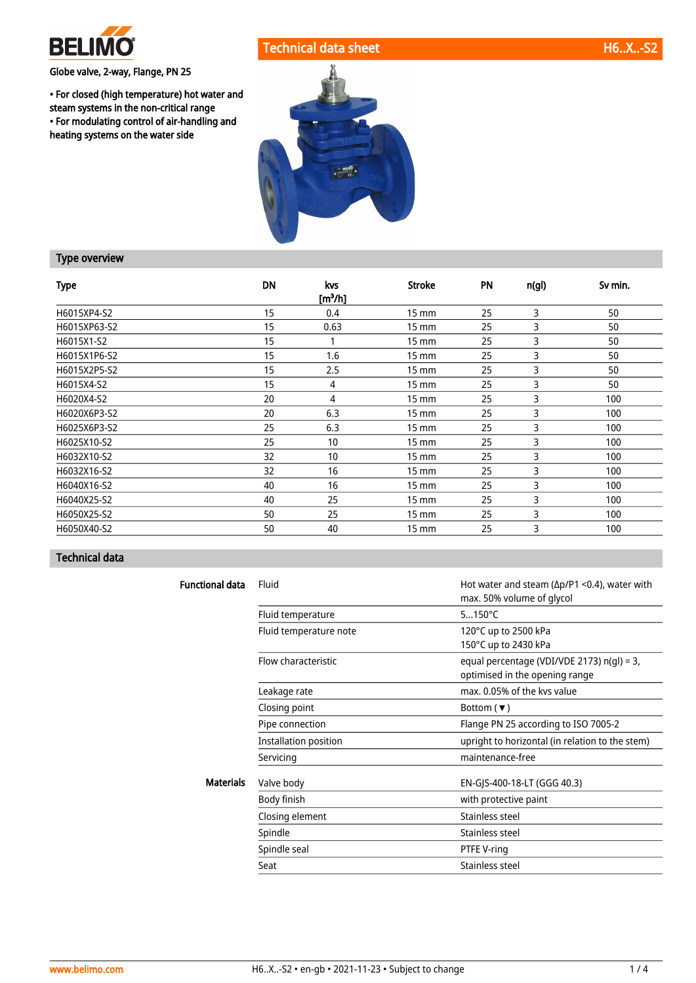

## Globe valve, 2-way, Flange, PN 25

• For closed (high temperature) hot water and steam systems in the non-critical range • For modulating control of air-handling and heating systems on the water side

# Technical data sheet H6..X..-S2



## Type overview

| <b>Type</b>  | <b>DN</b> | kvs<br>[m <sup>3</sup> /h] | <b>Stroke</b>     | <b>PN</b> | n(gl) | Sv min. |
|--------------|-----------|----------------------------|-------------------|-----------|-------|---------|
| H6015XP4-S2  | 15        | 0.4                        | $15 \, \text{mm}$ | 25        | 3     | 50      |
| H6015XP63-S2 | 15        | 0.63                       | $15 \text{ mm}$   | 25        | 3     | 50      |
| H6015X1-S2   | 15        |                            | $15 \, \text{mm}$ | 25        | 3     | 50      |
| H6015X1P6-S2 | 15        | 1.6                        | $15 \, \text{mm}$ | 25        | 3     | 50      |
| H6015X2P5-S2 | 15        | 2.5                        | $15 \text{ mm}$   | 25        | 3     | 50      |
| H6015X4-S2   | 15        | 4                          | $15 \text{ mm}$   | 25        | 3     | 50      |
| H6020X4-S2   | 20        | 4                          | $15 \text{ mm}$   | 25        | 3     | 100     |
| H6020X6P3-S2 | 20        | 6.3                        | $15 \text{ mm}$   | 25        | 3     | 100     |
| H6025X6P3-S2 | 25        | 6.3                        | $15 \text{ mm}$   | 25        | 3     | 100     |
| H6025X10-S2  | 25        | 10                         | $15 \text{ mm}$   | 25        | 3     | 100     |
| H6032X10-S2  | 32        | 10                         | $15 \, \text{mm}$ | 25        | 3     | 100     |
| H6032X16-S2  | 32        | 16                         | $15 \, \text{mm}$ | 25        | 3     | 100     |
| H6040X16-S2  | 40        | 16                         | $15 \, \text{mm}$ | 25        | 3     | 100     |
| H6040X25-S2  | 40        | 25                         | $15 \text{ mm}$   | 25        | 3     | 100     |
| H6050X25-S2  | 50        | 25                         | $15 \text{ mm}$   | 25        | 3     | 100     |
| H6050X40-S2  | 50        | 40                         | $15 \text{ mm}$   | 25        | 3     | 100     |

# Technical data

| <b>Functional data</b> | Fluid                  | Hot water and steam ( $\Delta p/P1$ <0.4), water with<br>max. 50% volume of glycol |
|------------------------|------------------------|------------------------------------------------------------------------------------|
|                        | Fluid temperature      | $5150^{\circ}$ C                                                                   |
|                        | Fluid temperature note | 120°C up to 2500 kPa<br>150°C up to 2430 kPa                                       |
|                        | Flow characteristic    | equal percentage (VDI/VDE 2173) n(gl) = 3,<br>optimised in the opening range       |
|                        | Leakage rate           | max. 0.05% of the kys value                                                        |
|                        | Closing point          | Bottom ( $\blacktriangledown$ )                                                    |
|                        | Pipe connection        | Flange PN 25 according to ISO 7005-2                                               |
|                        | Installation position  | upright to horizontal (in relation to the stem)                                    |
|                        | Servicing              | maintenance-free                                                                   |
| <b>Materials</b>       | Valve body             | EN-GJS-400-18-LT (GGG 40.3)                                                        |
|                        | Body finish            | with protective paint                                                              |
|                        | Closing element        | Stainless steel                                                                    |
|                        | Spindle                | Stainless steel                                                                    |
|                        | Spindle seal           | PTFE V-ring                                                                        |
|                        | Seat                   | Stainless steel                                                                    |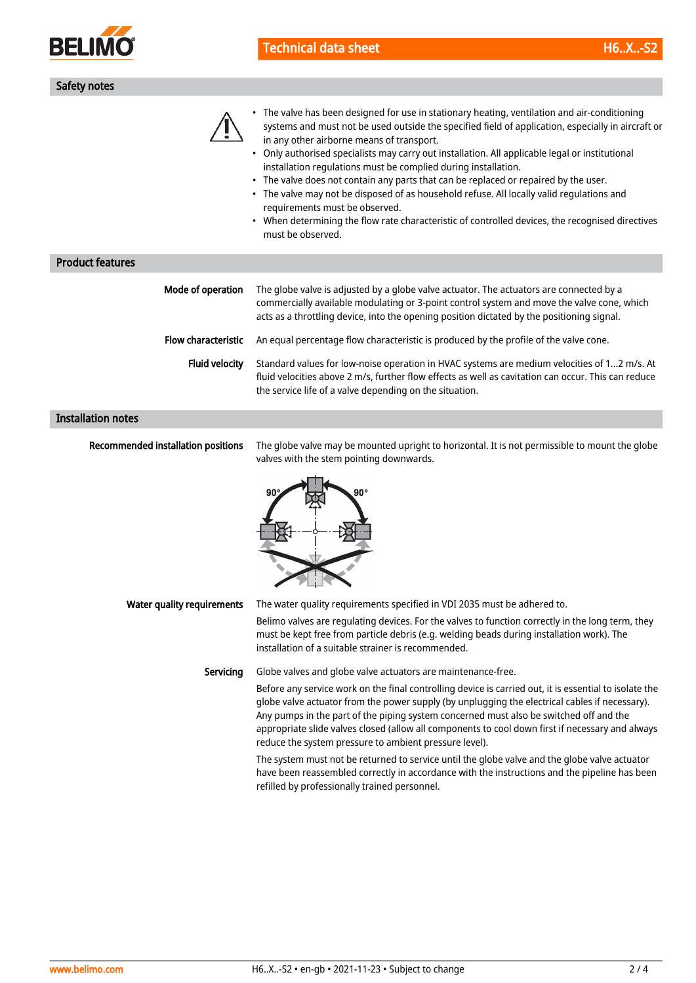

| <b>Technical data sheet</b> | $H6.X.-S2$ |
|-----------------------------|------------|
|-----------------------------|------------|

| Safety notes |  |
|--------------|--|
|              |  |

| • The valve has been designed for use in stationary heating, ventilation and air-conditioning      |
|----------------------------------------------------------------------------------------------------|
| systems and must not be used outside the specified field of application, especially in aircraft or |
| in any other airborne means of transport.                                                          |

• Only authorised specialists may carry out installation. All applicable legal or institutional installation regulations must be complied during installation.

- The valve does not contain any parts that can be replaced or repaired by the user.
- The valve may not be disposed of as household refuse. All locally valid regulations and requirements must be observed.
- When determining the flow rate characteristic of controlled devices, the recognised directives must be observed.

| <b>Product features</b> |                            |                                                                                                                                                                                                                                                                                     |
|-------------------------|----------------------------|-------------------------------------------------------------------------------------------------------------------------------------------------------------------------------------------------------------------------------------------------------------------------------------|
|                         | Mode of operation          | The globe valve is adjusted by a globe valve actuator. The actuators are connected by a<br>commercially available modulating or 3-point control system and move the valve cone, which<br>acts as a throttling device, into the opening position dictated by the positioning signal. |
|                         | <b>Flow characteristic</b> | An equal percentage flow characteristic is produced by the profile of the valve cone.                                                                                                                                                                                               |
|                         | <b>Fluid velocity</b>      | Standard values for low-noise operation in HVAC systems are medium velocities of 12 m/s. At<br>fluid velocities above 2 m/s, further flow effects as well as cavitation can occur. This can reduce<br>the service life of a valve depending on the situation.                       |

#### Installation notes

Recommended installation positions

The globe valve may be mounted upright to horizontal. It is not permissible to mount the globe valves with the stem pointing downwards.



| Water quality requirements | The water quality requirements specified in VDI 2035 must be adhered to.                                                                                                                                                                              |  |  |  |  |  |
|----------------------------|-------------------------------------------------------------------------------------------------------------------------------------------------------------------------------------------------------------------------------------------------------|--|--|--|--|--|
|                            | Belimo valves are regulating devices. For the valves to function correctly in the long term, they<br>must be kept free from particle debris (e.g. welding beads during installation work). The<br>installation of a suitable strainer is recommended. |  |  |  |  |  |
| Servicina                  | Globe valves and globe valve actuators are maintenance-free.                                                                                                                                                                                          |  |  |  |  |  |
|                            | Before any service work on the final controlling device is carried out, it is essential to isolate the<br>globe valve actuator from the power supply (by unplugging the electrical cables if necessary).                                              |  |  |  |  |  |

globe valve actuator from the power supply (by unplugging the electrical cables if necessary). Any pumps in the part of the piping system concerned must also be switched off and the appropriate slide valves closed (allow all components to cool down first if necessary and always reduce the system pressure to ambient pressure level).

The system must not be returned to service until the globe valve and the globe valve actuator have been reassembled correctly in accordance with the instructions and the pipeline has been refilled by professionally trained personnel.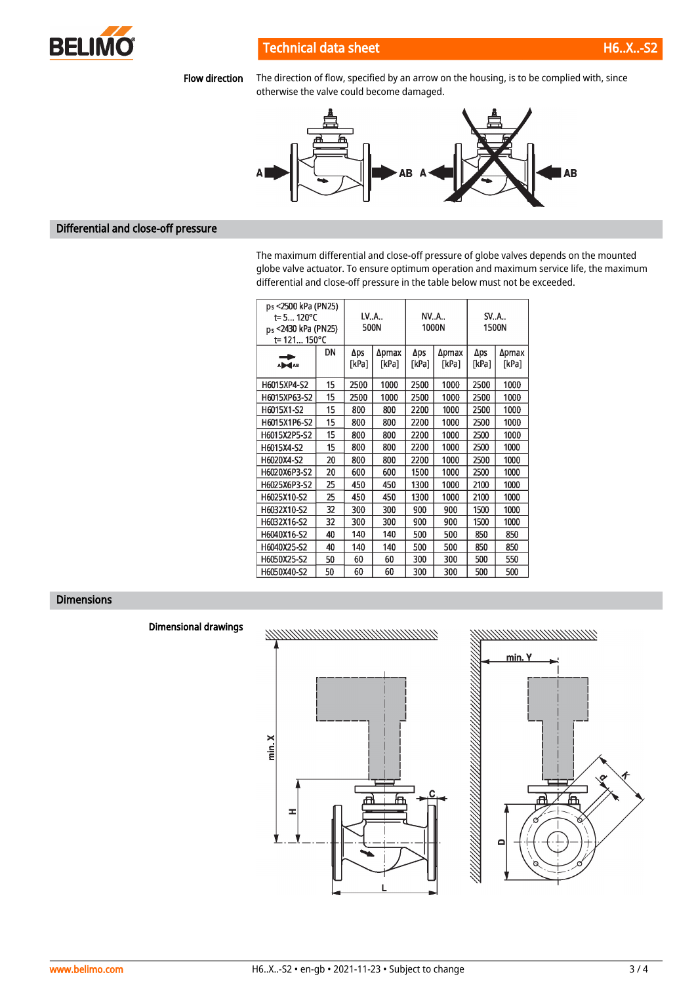

## Technical data sheet H6..X..-S2

Flow direction The direction of flow, specified by an arrow on the housing, is to be complied with, since otherwise the valve could become damaged.



### Differential and close-off pressure

The maximum differential and close-off pressure of globe valves depends on the mounted globe valve actuator. To ensure optimum operation and maximum service life, the maximum differential and close-off pressure in the table below must not be exceeded.

| ps <2500 kPa (PN25)<br>$t = 5120^{\circ}C$<br>ps <2430 kPa (PN25)<br>t= 121 150°C |    | LVA<br>500N  |                | NVA          | 1000N          | SVA<br>1500N |                |  |
|-----------------------------------------------------------------------------------|----|--------------|----------------|--------------|----------------|--------------|----------------|--|
| A <b>D</b>                                                                        | DN | Δps<br>[kPa] | ∆pmax<br>[kPa] | Aps<br>[kPa] | ∆pmax<br>[kPa] | Δps<br>[kPa] | ∆pmax<br>[kPa] |  |
| H6015XP4-S2                                                                       | 15 | 2500         | 1000           | 2500         | 1000           | 2500         | 1000           |  |
| H6015XP63-S2                                                                      | 15 | 2500         | 1000           | 2500         | 1000           | 2500         | 1000           |  |
| H6015X1-S2                                                                        | 15 | 800          | 800            | 2200         | 1000           | 2500         | 1000           |  |
| H6015X1P6-S2                                                                      | 15 | 800          | 800            | 2200         | 1000           | 2500         | 1000           |  |
| H6015X2P5-S2                                                                      | 15 | 800          | 800            | 2200         | 1000           | 2500         | 1000           |  |
| H6015X4-S2                                                                        | 15 | 800          | 800            | 2200         | 1000           | 2500         | 1000           |  |
| H6020X4-S2                                                                        | 20 | 800          | 800            | 2200         | 1000           | 2500         | 1000           |  |
| H6020X6P3-S2                                                                      | 20 | 600          | 600            | 1500         | 1000           | 2500         | 1000           |  |
| H6025X6P3-S2                                                                      | 25 | 450          | 450            | 1300         | 1000           | 2100         | 1000           |  |
| H6025X10-S2                                                                       | 25 | 450          | 450            | 1300         | 1000           | 2100         | 1000           |  |
| H6032X10-S2                                                                       | 32 | 300          | 300            | 900          | 900            | 1500         | 1000           |  |
| H6032X16-S2                                                                       | 32 | 300          | 300            | 900          | 900            | 1500         | 1000           |  |
| H6040X16-S2                                                                       | 40 | 140          | 140            | 500          | 500            | 850          | 850            |  |
| H6040X25-S2                                                                       | 40 | 140          | 140            | 500          | 500            | 850          | 850            |  |
| H6050X25-S2                                                                       | 50 | 60           | 60             | 300          | 300            | 500          | 550            |  |
| H6050X40-S2                                                                       | 50 | 60           | 60             | 300          | 300            | 500          | 500            |  |

## Dimensions